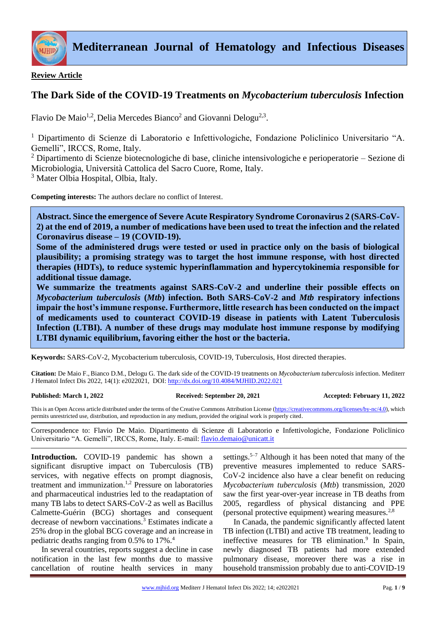

# **Mediterranean Journal of Hematology and Infectious Diseases**

## **Review Article**

# **The Dark Side of the COVID-19 Treatments on** *Mycobacterium tuberculosis* **Infection**

Flavio De Maio<sup>1,2</sup>, Delia Mercedes Bianco<sup>2</sup> and Giovanni Delogu<sup>2,3</sup>.

<sup>1</sup> Dipartimento di Scienze di Laboratorio e Infettivologiche, Fondazione Policlinico Universitario "A. Gemelli", IRCCS, Rome, Italy.

<sup>2</sup> Dipartimento di Scienze biotecnologiche di base, cliniche intensivologiche e perioperatorie – Sezione di Microbiologia, Università Cattolica del Sacro Cuore, Rome, Italy.

<sup>3</sup> Mater Olbia Hospital, Olbia, Italy.

**Competing interests:** The authors declare no conflict of Interest.

**Abstract. Since the emergence of Severe Acute Respiratory Syndrome Coronavirus 2 (SARS-CoV-2) at the end of 2019, a number of medications have been used to treat the infection and the related Coronavirus disease – 19 (COVID-19).** 

**Some of the administered drugs were tested or used in practice only on the basis of biological plausibility; a promising strategy was to target the host immune response, with host directed therapies (HDTs), to reduce systemic hyperinflammation and hypercytokinemia responsible for additional tissue damage.** 

**We summarize the treatments against SARS-CoV-2 and underline their possible effects on**  *Mycobacterium tuberculosis* **(***Mtb***) infection. Both SARS-CoV-2 and** *Mtb* **respiratory infections impair the host's immune response. Furthermore, little research has been conducted on the impact of medicaments used to counteract COVID-19 disease in patients with Latent Tuberculosis Infection (LTBI). A number of these drugs may modulate host immune response by modifying LTBI dynamic equilibrium, favoring either the host or the bacteria.**

**Keywords:** SARS-CoV-2, Mycobacterium tuberculosis, COVID-19, Tuberculosis, Host directed therapies.

**Citation:** De Maio F.,Bianco D.M., Delogu G. The dark side of the COVID-19 treatments on *Mycobacterium tuberculosis* infection. Mediterr J Hematol Infect Dis 2022, 14(1): e2022021, DOI[: http://dx.doi.org/10.4084/MJHID.2022.021](http://dx.doi.org/10.4084/MJHID.2022.021)

### **Published: March 1, 2022 Received: September 20, 2021 Accepted: February 11, 2022**

This is an Open Access article distributed under the terms of the Creative Commons Attribution License [\(https://creativecommons.org/licenses/by-nc/4.0\)](https://creativecommons.org/licenses/by-nc/4.0), which permits unrestricted use, distribution, and reproduction in any medium, provided the original work is properly cited.

Correspondence to: Flavio De Maio. Dipartimento di Scienze di Laboratorio e Infettivologiche, Fondazione Policlinico Universitario "A. Gemelli", IRCCS, Rome, Italy. E-mail[: flavio.demaio@unicatt.it](mailto:flavio.demaio@unicatt.it)

**Introduction.** COVID-19 pandemic has shown a significant disruptive impact on Tuberculosis (TB) services, with negative effects on prompt diagnosis, treatment and immunization.<sup>1,2</sup> Pressure on laboratories and pharmaceutical industries led to the readaptation of many TB labs to detect SARS-CoV-2 as well as Bacillus Calmette-Guérin (BCG) shortages and consequent decrease of newborn vaccinations.<sup>3</sup> Estimates indicate a 25% drop in the global BCG coverage and an increase in pediatric deaths ranging from 0.5% to 17%.<sup>4</sup>

In several countries, reports suggest a decline in case notification in the last few months due to massive cancellation of routine health services in many

settings.<sup>5-7</sup> Although it has been noted that many of the preventive measures implemented to reduce SARS-CoV-2 incidence also have a clear benefit on reducing *Mycobacterium tuberculosis* (*Mtb*) transmission, 2020 saw the first year-over-year increase in TB deaths from 2005, regardless of physical distancing and PPE (personal protective equipment) wearing measures. $2,8$ 

In Canada, the pandemic significantly affected latent TB infection (LTBI) and active TB treatment, leading to ineffective measures for TB elimination.<sup>9</sup> In Spain, newly diagnosed TB patients had more extended pulmonary disease, moreover there was a rise in household transmission probably due to anti-COVID-19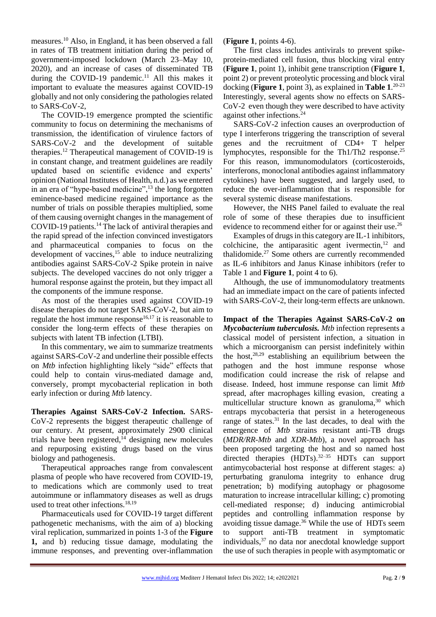measures.<sup>10</sup> Also, in England, it has been observed a fall in rates of TB treatment initiation during the period of government-imposed lockdown (March 23–May 10, 2020), and an increase of cases of disseminated TB during the COVID-19 pandemic.<sup>11</sup> All this makes it important to evaluate the measures against COVID-19 globally and not only considering the pathologies related to SARS-CoV-2,

The COVID-19 emergence prompted the scientific community to focus on determining the mechanisms of transmission, the identification of virulence factors of SARS-CoV-2 and the development of suitable therapies.<sup>12</sup> Therapeutical management of COVID-19 is in constant change, and treatment guidelines are readily updated based on scientific evidence and experts' opinion (National Institutes of Health, n.d.) as we entered in an era of "hype-based medicine", $13$  the long forgotten eminence-based medicine regained importance as the number of trials on possible therapies multiplied, some of them causing overnight changes in the management of COVID-19 patients.<sup>14</sup> The lack of antiviral therapies and the rapid spread of the infection convinced investigators and pharmaceutical companies to focus on the development of vaccines,<sup>15</sup> able to induce neutralizing antibodies against SARS-CoV-2 Spike protein in naive subjects. The developed vaccines do not only trigger a humoral response against the protein, but they impact all the components of the immune response.

As most of the therapies used against COVID-19 disease therapies do not target SARS-CoV-2, but aim to regulate the host immune response<sup>16,17</sup> it is reasonable to consider the long-term effects of these therapies on subjects with latent TB infection (LTBI).

In this commentary, we aim to summarize treatments against SARS-CoV-2 and underline their possible effects on *Mtb* infection highlighting likely "side" effects that could help to contain virus-mediated damage and, conversely, prompt mycobacterial replication in both early infection or during *Mtb* latency.

**Therapies Against SARS-CoV-2 Infection.** SARS-CoV-2 represents the biggest therapeutic challenge of our century. At present, approximately 2900 clinical trials have been registered, $^{14}$  designing new molecules and repurposing existing drugs based on the virus biology and pathogenesis.

Therapeutical approaches range from convalescent plasma of people who have recovered from COVID-19, to medications which are commonly used to treat autoimmune or inflammatory diseases as well as drugs used to treat other infections.<sup>18,19</sup>

Pharmaceuticals used for COVID-19 target different pathogenetic mechanisms, with the aim of a) blocking viral replication, summarized in points 1-3 of the **Figure 1,** and b) reducing tissue damage, modulating the immune responses, and preventing over-inflammation (**Figure 1**, points 4-6).

The first class includes antivirals to prevent spikeprotein-mediated cell fusion, thus blocking viral entry (**Figure 1**, point 1), inhibit gene transcription (**Figure 1**, point 2) or prevent proteolytic processing and block viral docking (**Figure 1**, point 3), as explained in **Table 1**. 20-23 Interestingly, several agents show no effects on SARS-CoV-2 even though they were described to have activity against other infections.<sup>24</sup>

SARS-CoV-2 infection causes an overproduction of type I interferons triggering the transcription of several genes and the recruitment of CD4+ T helper lymphocytes, responsible for the Th1/Th2 response.<sup>25</sup> For this reason, immunomodulators (corticosteroids, interferons, monoclonal antibodies against inflammatory cytokines) have been suggested, and largely used, to reduce the over-inflammation that is responsible for several systemic disease manifestations.

However, the NHS Panel failed to evaluate the real role of some of these therapies due to insufficient evidence to recommend either for or against their use.<sup>26</sup>

Examples of drugs in this category are IL-1 inhibitors, colchicine, the antiparasitic agent ivermectin, $12$  and thalidomide.<sup>27</sup> Some others are currently recommended as IL-6 inhibitors and Janus Kinase inhibitors (refer to Table 1 and **Figure 1**, point 4 to 6).

Although, the use of immunomodulatory treatments had an immediate impact on the care of patients infected with SARS-CoV-2, their long-term effects are unknown.

**Impact of the Therapies Against SARS-CoV-2 on**  *Mycobacterium tuberculosis. Mtb* infection represents a classical model of persistent infection, a situation in which a microorganism can persist indefinitely within the host, $28,29$  establishing an equilibrium between the pathogen and the host immune response whose modification could increase the risk of relapse and disease. Indeed, host immune response can limit *Mtb* spread, after macrophages killing evasion, creating a multicellular structure known as granuloma,<sup>30</sup> which entraps mycobacteria that persist in a heterogeneous range of states. $31$  In the last decades, to deal with the emergence of *Mtb* strains resistant anti-TB drugs (*MDR/RR-Mtb* and *XDR-Mtb*), a novel approach has been proposed targeting the host and so named host directed therapies  $(HDTs)$ .<sup>32–35</sup> HDTs can support antimycobacterial host response at different stages: a) perturbating granuloma integrity to enhance drug penetration; b) modifying autophagy or phagosome maturation to increase intracellular killing; c) promoting cell-mediated response; d) inducing antimicrobial peptides and controlling inflammation response by avoiding tissue damage.<sup>36</sup> While the use of HDTs seem to support anti-TB treatment in symptomatic individuals,<sup>37</sup> no data nor anecdotal knowledge support the use of such therapies in people with asymptomatic or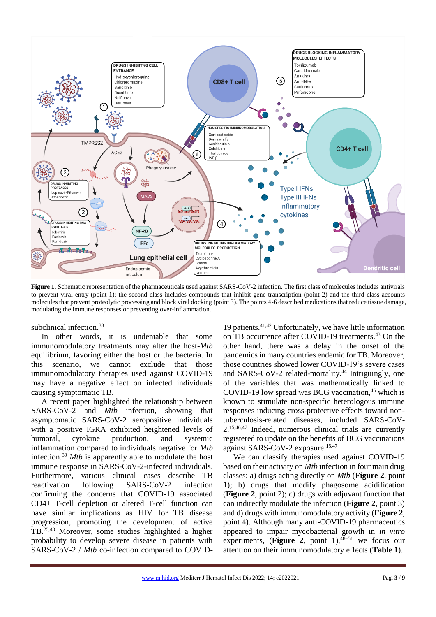

**Figure 1.** Schematic representation of the pharmaceuticals used against SARS-CoV-2 infection. The first class of molecules includes antivirals to prevent viral entry (point 1); the second class includes compounds that inhibit gene transcription (point 2) and the third class accounts molecules that prevent proteolytic processing and block viral docking (point 3). The points 4-6 described medications that reduce tissue damage, modulating the immune responses or preventing over-inflammation.

subclinical infection.<sup>38</sup>

In other words, it is undeniable that some immunomodulatory treatments may alter the host-*Mtb*  equilibrium, favoring either the host or the bacteria. In this scenario, we cannot exclude that those immunomodulatory therapies used against COVID-19 may have a negative effect on infected individuals causing symptomatic TB.

A recent paper highlighted the relationship between SARS-CoV-2 and *Mtb* infection, showing that asymptomatic SARS-CoV-2 seropositive individuals with a positive IGRA exhibited heightened levels of humoral, cytokine production, and systemic inflammation compared to individuals negative for *Mtb* infection.<sup>39</sup> *Mtb* is apparently able to modulate the host immune response in SARS-CoV-2-infected individuals. Furthermore, various clinical cases describe TB reactivation following SARS-CoV-2 infection confirming the concerns that COVID-19 associated CD4+ T-cell depletion or altered T-cell function can have similar implications as HIV for TB disease progression, promoting the development of active TB.25,40 Moreover, some studies highlighted a higher probability to develop severe disease in patients with SARS-CoV-2 / *Mtb* co-infection compared to COVID-

19 patients.41,42 Unfortunately, we have little information on TB occurrence after COVID-19 treatments.<sup>43</sup> On the other hand, there was a delay in the onset of the pandemics in many countries endemic for TB. Moreover, those countries showed lower COVID-19's severe cases and SARS-CoV-2 related-mortality.<sup>44</sup> Intriguingly, one of the variables that was mathematically linked to COVID-19 low spread was BCG vaccination, $45$  which is known to stimulate non-specific heterologous immune responses inducing cross-protective effects toward nontuberculosis-related diseases, included SARS-CoV-2.15,46,47 Indeed, numerous clinical trials are currently registered to update on the benefits of BCG vaccinations against SARS-CoV-2 exposure. 15,47

We can classify therapies used against COVID-19 based on their activity on *Mtb* infection in four main drug classes: a) drugs acting directly on *Mtb* (**Figure 2**, point 1); b) drugs that modify phagosome acidification (**Figure 2**, point 2); c) drugs with adjuvant function that can indirectly modulate the infection (**Figure 2**, point 3) and d) drugs with immunomodulatory activity (**Figure 2**, point 4). Although many anti-COVID-19 pharmaceutics appeared to impair mycobacterial growth in *in vitro* experiments, (**Figure 2**, point  $1$ ),  $48-51$  we focus our attention on their immunomodulatory effects (**Table 1**).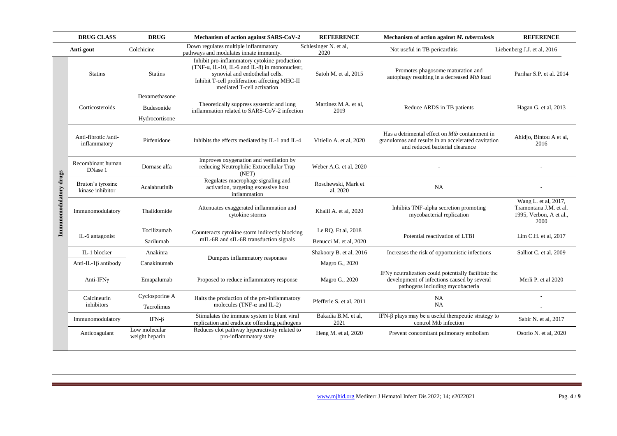|                        | <b>DRUG CLASS</b>                     | <b>DRUG</b>                     | Mechanism of action against SARS-CoV-2                                                                                                                                                                                   | <b>REFEERENCE</b>               | Mechanism of action against M. tuberculosis                                                                                                     | <b>REFERENCE</b>                                                                  |
|------------------------|---------------------------------------|---------------------------------|--------------------------------------------------------------------------------------------------------------------------------------------------------------------------------------------------------------------------|---------------------------------|-------------------------------------------------------------------------------------------------------------------------------------------------|-----------------------------------------------------------------------------------|
|                        | Anti-gout                             | Colchicine                      | Down regulates multiple inflammatory<br>pathways and modulates innate immunity.                                                                                                                                          | Schlesinger N. et al,<br>2020   | Not useful in TB pericarditis                                                                                                                   | Liebenberg J.J. et al, 2016                                                       |
|                        | <b>Statins</b>                        | <b>Statins</b>                  | Inhibit pro-inflammatory cytokine production<br>(TNF- $\alpha$ , IL-10, IL-6 and IL-8) in mononuclear,<br>synovial and endothelial cells.<br>Inhibit T-cell proliferation affecting MHC-II<br>mediated T-cell activation | Satoh M. et al, 2015            | Promotes phagosome maturation and<br>autophagy resulting in a decreased Mtb load                                                                | Parihar S.P. et al. 2014                                                          |
| Immunomodulatory drugs | Corticosteroids                       | Dexamethasone                   | Theoretically suppress systemic and lung<br>inflammation related to SARS-CoV-2 infection                                                                                                                                 | Martinez M.A. et al.<br>2019    | Reduce ARDS in TB patients                                                                                                                      | Hagan G. et al, 2013                                                              |
|                        |                                       | <b>Budesonide</b>               |                                                                                                                                                                                                                          |                                 |                                                                                                                                                 |                                                                                   |
|                        |                                       | Hydrocortisone                  |                                                                                                                                                                                                                          |                                 |                                                                                                                                                 |                                                                                   |
|                        | Anti-fibrotic /anti-<br>inflammatory  | Pirfenidone                     | Inhibits the effects mediated by IL-1 and IL-4                                                                                                                                                                           | Vitiello A. et al, 2020         | Has a detrimental effect on <i>Mtb</i> containment in<br>granulomas and results in an accelerated cavitation<br>and reduced bacterial clearance | Ahidjo, Bintou A et al,<br>2016                                                   |
|                        | Recombinant human<br>DNase 1          | Dornase alfa                    | Improves oxygenation and ventilation by<br>reducing Neutrophilic Extracellular Trap<br>(NET)                                                                                                                             | Weber A.G. et al, 2020          |                                                                                                                                                 |                                                                                   |
|                        | Bruton's tyrosine<br>kinase inhibitor | Acalabrutinib                   | Regulates macrophage signaling and<br>activation, targeting excessive host<br>inflammation                                                                                                                               | Roschewski, Mark et<br>al, 2020 | <b>NA</b>                                                                                                                                       |                                                                                   |
|                        | Immunomodulatory                      | Thalidomide                     | Attenuates exaggerated inflammation and<br>cytokine storms                                                                                                                                                               | Khalil A. et al, 2020           | Inhibits TNF-alpha secretion promoting<br>mycobacterial replication                                                                             | Wang L. et al, 2017,<br>Tramontana J.M. et al.<br>1995, Verbon, A et al.,<br>2000 |
|                        | IL-6 antagonist                       | Tocilizumab                     | Counteracts cytokine storm indirectly blocking<br>mIL-6R and sIL-6R transduction signals                                                                                                                                 | Le RQ. Et al, 2018              | Potential reactivation of LTBI                                                                                                                  | Lim C.H. et al, 2017                                                              |
|                        |                                       | Sarilumab                       |                                                                                                                                                                                                                          | Benucci M. et al, 2020          |                                                                                                                                                 |                                                                                   |
|                        | IL-1 blocker                          | Anakinra                        | Dumpers inflammatory responses                                                                                                                                                                                           | Shakoory B. et al, 2016         | Increases the risk of opportunistic infections                                                                                                  | Salliot C. et al, 2009                                                            |
|                        | Anti-IL-1 $\beta$ antibody            | Canakinumab                     |                                                                                                                                                                                                                          | Magro G., 2020                  |                                                                                                                                                 |                                                                                   |
|                        | Anti-IFNγ                             | Emapalumab                      | Proposed to reduce inflammatory response                                                                                                                                                                                 | Magro G., 2020                  | IFNy neutralization could potentially facilitate the<br>development of infections caused by several<br>pathogens including mycobacteria         | Merli P. et al 2020                                                               |
|                        | Calcineurin<br>inhibitors             | Cyclosporine A<br>Tacrolimus    | Halts the production of the pro-inflammatory<br>molecules (TNF- $\alpha$ and IL-2)                                                                                                                                       | Pfefferle S. et al, 2011        | <b>NA</b><br><b>NA</b>                                                                                                                          |                                                                                   |
|                        | Immunomodulatory                      | IFN-β                           | Stimulates the immune system to blunt viral<br>replication and eradicate offending pathogens                                                                                                                             | Bakadia B.M. et al,<br>2021     | IFN-β plays may be a useful therapeutic strategy to<br>control Mtb infection                                                                    | Sabir N. et al, 2017                                                              |
|                        | Anticoagulant                         | Low molecular<br>weight heparin | Reduces clot pathway hyperactivity related to<br>pro-inflammatory state                                                                                                                                                  | Heng M. et al, 2020             | Prevent concomitant pulmonary embolism                                                                                                          | Osorio N. et al, 2020                                                             |
|                        |                                       |                                 |                                                                                                                                                                                                                          |                                 |                                                                                                                                                 |                                                                                   |

an an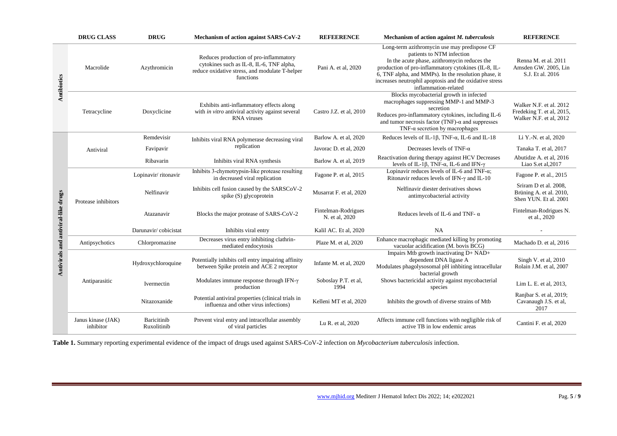|                                     | <b>DRUG CLASS</b>               | <b>DRUG</b>                | Mechanism of action against SARS-CoV-2                                                                                                            | <b>REFEERENCE</b>                     | Mechanism of action against M. tuberculosis                                                                                                                                                                                                                                                                                 | <b>REFERENCE</b>                                                                |
|-------------------------------------|---------------------------------|----------------------------|---------------------------------------------------------------------------------------------------------------------------------------------------|---------------------------------------|-----------------------------------------------------------------------------------------------------------------------------------------------------------------------------------------------------------------------------------------------------------------------------------------------------------------------------|---------------------------------------------------------------------------------|
| Antibiotics                         | Macrolide                       | Azythromicin               | Reduces production of pro-inflammatory<br>cytokines such as IL-8, IL-6, TNF alpha,<br>reduce oxidative stress, and modulate T-helper<br>functions | Pani A. et al, 2020                   | Long-term azithromycin use may predispose CF<br>patients to NTM infection<br>In the acute phase, azithromycin reduces the<br>production of pro-inflammatory cytokines (IL-8, IL-<br>6, TNF alpha, and MMPs). In the resolution phase, it<br>increases neutrophil apoptosis and the oxidative stress<br>inflammation-related | Renna M. et al. 2011<br>Amsden GW. 2005, Lin<br>S.J. Et al. 2016                |
|                                     | Tetracycline                    | Doxyclicine                | Exhibits anti-inflammatory effects along<br>with in vitro antiviral activity against several<br><b>RNA</b> viruses                                | Castro J.Z. et al, 2010               | Blocks mycobacterial growth in infected<br>macrophages suppressing MMP-1 and MMP-3<br>secretion<br>Reduces pro-inflammatory cytokines, including IL-6<br>and tumor necrosis factor (TNF)- $\alpha$ and suppresses<br>$TNF-\alpha$ secretion by macrophages                                                                  | Walker N.F. et al. 2012<br>Fredeking T. et al, 2015,<br>Walker N.F. et al, 2012 |
|                                     | Antiviral                       | Remdevisir                 | Inhibits viral RNA polymerase decreasing viral<br>replication                                                                                     | Barlow A. et al, 2020                 | Reduces levels of IL-1 $\beta$ , TNF- $\alpha$ , IL-6 and IL-18                                                                                                                                                                                                                                                             | Li Y.-N. et al, 2020                                                            |
|                                     |                                 | Favipavir                  |                                                                                                                                                   | Javorac D. et al, 2020                | Decreases levels of TNF- $\alpha$                                                                                                                                                                                                                                                                                           | Tanaka T. et al, 2017                                                           |
|                                     |                                 | Ribavarin                  | Inhibits viral RNA synthesis                                                                                                                      | Barlow A. et al, 2019                 | Reactivation during therapy against HCV Decreases<br>levels of IL-1 $\beta$ , TNF- $\alpha$ , IL-6 and IFN- $\gamma$                                                                                                                                                                                                        | Abutidze A. et al, 2016<br>Liao S.et al, 2017                                   |
|                                     | Protease inhibitors             | Lopinavir/ritonavir        | Inhibits 3-chymotrypsin-like protease resulting<br>in decreased viral replication                                                                 | Fagone P. et al, 2015                 | Lopinavir reduces levels of IL-6 and TNF- $\alpha$ ;<br>Ritonavir reduces levels of IFN- $\gamma$ and IL-10                                                                                                                                                                                                                 | Fagone P. et al., 2015                                                          |
|                                     |                                 | Nelfinavir                 | Inhibits cell fusion caused by the SARSCoV-2<br>spike (S) glycoprotein                                                                            | Musarrat F. et al, 2020               | Nelfinavir diester derivatives shows<br>antimycobacterial activity                                                                                                                                                                                                                                                          | Sriram D et al. 2008,<br>Brüning A. et al. 2010,<br>Shen YUN. Et al. 2001       |
|                                     |                                 | Atazanavir                 | Blocks the major protease of SARS-CoV-2                                                                                                           | Fintelman-Rodrigues<br>N. et al, 2020 | Reduces levels of IL-6 and TNF- $\alpha$                                                                                                                                                                                                                                                                                    | Fintelman-Rodrigues N.<br>et al., 2020                                          |
|                                     |                                 | Darunavir/cobicistat       | Inhibits viral entry                                                                                                                              | Kalil AC. Et al, 2020                 | NA                                                                                                                                                                                                                                                                                                                          |                                                                                 |
| Antivirals and antiviral-like drugs | Antipsychotics                  | Chlorpromazine             | Decreases virus entry inhibiting clathrin-<br>mediated endocytosis                                                                                | Plaze M. et al, 2020                  | Enhance macrophagic mediated killing by promoting<br>vacuolar acidification (M. bovis BCG)                                                                                                                                                                                                                                  | Machado D. et al, 2016                                                          |
|                                     | Antiparasitic                   | Hydroxychloroquine         | Potentially inhibits cell entry impairing affinity<br>between Spike protein and ACE 2 receptor                                                    | Infante M. et al, 2020                | Impairs Mtb growth inactivating D+ NAD+<br>dependent DNA ligase A<br>Modulates phagolysosomal pH inhbiting intracellular<br>bacterial growth                                                                                                                                                                                | Singh V. et al, 2010<br>Rolain J.M. et al, 2007                                 |
|                                     |                                 | Ivermectin                 | Modulates immune response through IFN- $\gamma$<br>production                                                                                     | Soboslay P.T. et al,<br>1994          | Shows bactericidal activity against mycobacterial<br>species                                                                                                                                                                                                                                                                | Lim L. E. et al, 2013,                                                          |
|                                     |                                 | Nitazoxanide               | Potential antiviral properties (clinical trials in<br>influenza and other virus infections)                                                       | Kelleni MT et al, 2020                | Inhibits the growth of diverse strains of Mtb                                                                                                                                                                                                                                                                               | Ranjbar S. et al, 2019;<br>Cavanaugh J.S. et al,<br>2017                        |
|                                     | Janus kinase (JAK)<br>inhibitor | Baricitinib<br>Ruxolitinib | Prevent viral entry and intracellular assembly<br>of viral particles                                                                              | Lu R. et al, 2020                     | Affects immune cell functions with negligible risk of<br>active TB in low endemic areas                                                                                                                                                                                                                                     | Cantini F. et al, 2020                                                          |

**Table 1.** Summary reporting experimental evidence of the impact of drugs used against SARS-CoV-2 infection on *Mycobacterium tuberculosis* infection.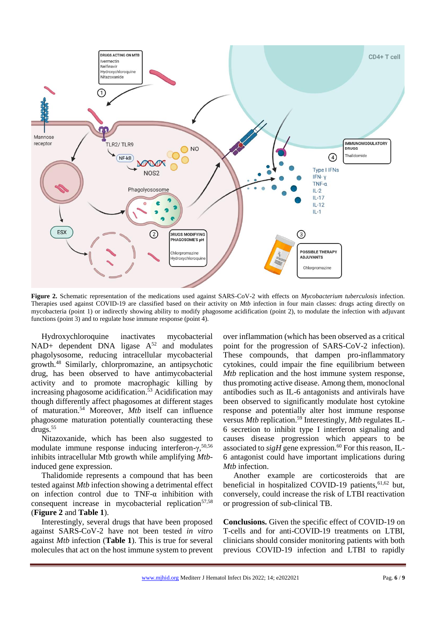

**Figure 2.** Schematic representation of the medications used against SARS-CoV-2 with effects on *Mycobacterium tuberculosis* infection. Therapies used against COVID-19 are classified based on their activity on *Mtb* infection in four main classes: drugs acting directly on mycobacteria (point 1) or indirectly showing ability to modify phagosome acidification (point 2), to modulate the infection with adjuvant functions (point 3) and to regulate hose immune response (point 4).

Hydroxychloroquine inactivates mycobacterial  $NAD+$  dependent DNA ligase  $A^{52}$  and modulates phagolysosome, reducing intracellular mycobacterial growth.<sup>48</sup> Similarly, chlorpromazine, an antipsychotic drug, has been observed to have antimycobacterial activity and to promote macrophagic killing by increasing phagosome acidification.<sup>53</sup> Acidification may though differently affect phagosomes at different stages of maturation.<sup>54</sup> Moreover, *Mtb* itself can influence phagosome maturation potentially counteracting these drugs.<sup>55</sup>

Nitazoxanide, which has been also suggested to modulate immune response inducing interferon-γ, 50,56 inhibits intracellular Mtb growth while amplifying *Mtb*induced gene expression.

Thalidomide represents a compound that has been tested against *Mtb* infection showing a detrimental effect on infection control due to TNF-α inhibition with consequent increase in mycobacterial replication $57,58$ (**Figure 2** and **Table 1**).

Interestingly, several drugs that have been proposed against SARS-CoV-2 have not been tested *in vitro* against *Mtb* infection (**Table 1**). This is true for several molecules that act on the host immune system to prevent

over inflammation (which has been observed as a critical point for the progression of SARS-CoV-2 infection). These compounds, that dampen pro-inflammatory cytokines, could impair the fine equilibrium between *Mtb* replication and the host immune system response, thus promoting active disease. Among them, monoclonal antibodies such as IL-6 antagonists and antivirals have been observed to significantly modulate host cytokine response and potentially alter host immune response versus *Mtb* replication.<sup>59</sup> Interestingly, *Mtb* regulates IL-6 secretion to inhibit type I interferon signaling and causes disease progression which appears to be associated to  $sigH$  gene expression.<sup>60</sup> For this reason, IL-6 antagonist could have important implications during *Mtb* infection.

Another example are corticosteroids that are beneficial in hospitalized COVID-19 patients, $61,62$  but, conversely, could increase the risk of LTBI reactivation or progression of sub-clinical TB.

**Conclusions.** Given the specific effect of COVID-19 on T-cells and for anti-COVID-19 treatments on LTBI, clinicians should consider monitoring patients with both previous COVID-19 infection and LTBI to rapidly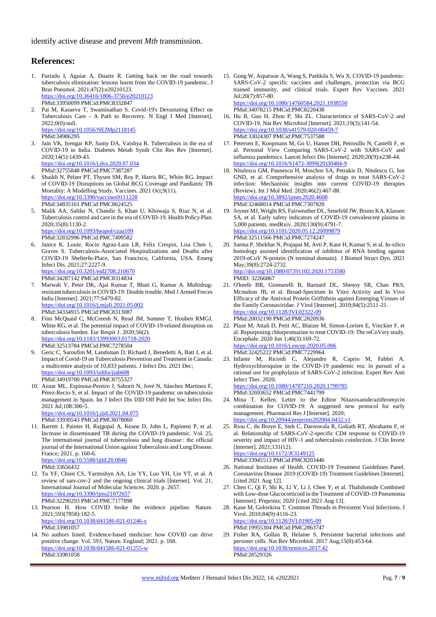### **References:**

- 1. Furtado I, Aguiar A, Duarte R. Getting back on the road towards tuberculosis elimination: lessons learnt from the COVID-19 pandemic. J Bras Pneumol. 2021;47(2):e20210123. <https://doi.org/10.36416/1806-3756/e20210123> PMid:33950099 PMCid:PMC8332847
- 2. Pai M, Kasaeva T, Swaminathan S. Covid-19's Devastating Effect on Tuberculosis Care - A Path to Recovery. N Engl J Med [Internet]. 2022;0(0):null. <https://doi.org/10.1056/NEJMp2118145>

PMid:34986295

- 3. Jain VK, Iyengar KP, Samy DA, Vaishya R. Tuberculosis in the era of COVID-19 in India. Diabetes Metab Syndr Clin Res Rev [Internet]. 2020;14(5):1439-43. <https://doi.org/10.1016/j.dsx.2020.07.034>
- PMid:32755848 PMCid:PMC7387287 4. Shaikh N, Pelzer PT, Thysen SM, Roy P, Harris RC, White RG. Impact of COVID-19 Disruptions on Global BCG Coverage and Paediatric TB Mortality: A Modelling Study. Vaccines. 2021 Oct;9(11). <https://doi.org/10.3390/vaccines9111228> PMid:34835161 PMCid:PMC8624525
- 5. Malik AA, Safdar N, Chandir S, Khan U, Khowaja S, Riaz N, et al. Tuberculosis control and care in the era of COVID-19. Health Policy Plan. 2020;35(8):1130-2. <https://doi.org/10.1093/heapol/czaa109>
- PMid:32832996 PMCid:PMC7499582 Janice K. Louie, Rocio Agraz-Lara LR, Felix Crespin, Lisa Chen 1, Graves S. Tuberculosis-Associated Hospitalizations and Deaths after COVID-19 ShelterIn-Place, San Francisco, California, USA. Emerg Infect Dis. 2021;27:2227-9. <https://doi.org/10.3201/eid2708.210670> PMid:34287142 PMCid:PMC8314834
- 7. Marwah V, Peter DK, Ajai Kumar T, Bhati G, Kumar A. Multidrugresistant tuberculosis in COVID-19: Double trouble. Med J Armed Forces India [Internet]. 2021;77:S479-82. <https://doi.org/10.1016/j.mjafi.2021.05.002> PMid:34334915 PMCid:PMC8313087
- 8. Finn McQuaid C, McCreesh N, Read JM, Sumner T, Houben RMGJ, White RG, et al. The potential impact of COVID-19-related disruption on tuberculosis burden. Eur Respir J. 2020;56(2). <https://doi.org/10.1183/13993003.01718-2020> PMid:32513784 PMCid:PMC7278504
- 9. Geric C, Saroufim M, Landsman D, Richard J, Benedetti A, Batt J, et al. Impact of Covid-19 on Tuberculosis Prevention and Treatment in Canada: a multicentre analysis of 10,833 patients. J Infect Dis. 2021 Dec; <https://doi.org/10.1093/infdis/jiab608> PMid:34919700 PMCid:PMC8755327
- 10. Aznar ML, Espinosa-Pereiro J, Saborit N, Jové N, Sánchez Martinez F, Pérez-Recio S, et al. Impact of the COVID-19 pandemic on tuberculosis management in Spain. Int J Infect Dis IJID Off Publ Int Soc Infect Dis. 2021 Jul;108:300-5. <https://doi.org/10.1016/j.ijid.2021.04.075>

PMid:33930543 PMCid:PMC8078060

- 11. Barrett J, Painter H, Rajgopal A, Keane D, John L, Papineni P, et al. Increase in disseminated TB during the COVID-19 pandemic. Vol. 25, The international journal of tuberculosis and lung disease : the official journal of the International Union against Tuberculosis and Lung Disease. France; 2021. p. 160-6. <https://doi.org/10.5588/ijtld.20.0846>
	- PMid:33656432
- 12. Tu YF, Chien CS, Yarmishyn AA, Lin YY, Luo YH, Lin YT, et al. A review of sars-cov-2 and the ongoing clinical trials [Internet]. Vol. 21, International Journal of Molecular Sciences. 2020. p. 2657. <https://doi.org/10.3390/ijms21072657> PMid:32290293 PMCid:PMC7177898
- 13. Pearson H. How COVID broke the evidence pipeline. Nature. 2021;593(7858):182-5. <https://doi.org/10.1038/d41586-021-01246-x> PMid:33981057
- 14. No authors listed. Evidence-based medicine: how COVID can drive positive change. Vol. 593, Nature. England; 2021. p. 168. <https://doi.org/10.1038/d41586-021-01255-w> PMid:33981058

15. Gong W, Aspatwar A, Wang S, Parkkila S, Wu X. COVID-19 pandemic: SARS-CoV-2 specific vaccines and challenges, protection via BCG trained immunity, and clinical trials. Expert Rev Vaccines. 2021 Jul;20(7):857-80. <https://doi.org/10.1080/14760584.2021.1938550>

PMid:34078215 PMCid:PMC8220438 16. Hu B, Guo H, Zhou P, Shi ZL. Characteristics of SARS-CoV-2 and COVID-19. Nat Rev Microbiol [Internet]. 2021;19(3):141-54. <https://doi.org/10.1038/s41579-020-00459-7> PMid:33024307 PMCid:PMC7537588

- 17. Petersen E, Koopmans M, Go U, Hamer DH, Petrosillo N, Castelli F, et al. Personal View Comparing SARS-CoV-2 with SARS-CoV and influenza pandemics. Lancet Infect Dis [Internet]. 2020;20(9):e238-44. [https://doi.org/10.1016/S1473-3099\(20\)30484-9](https://doi.org/10.1016/S1473-3099(20)30484-9)
- 18. Nitulescu GM, Paunescu H, Moschos SA, Petrakis D, Nitulescu G, Ion GND, et al. Comprehensive analysis of drugs to treat SARS-CoV-2 infection: Mechanistic insights into current COVID-19 therapies (Review). Int J Mol Med. 2020;46(2):467-88. <https://doi.org/10.3892/ijmm.2020.4608> PMid:32468014 PMCid:PMC7307820
- 19. Joyner MJ, Wright RS, Fairweather DL, Senefeld JW, Bruno KA, Klassen SA, et al. Early safety indicators of COVID-19 convalescent plasma in 5,000 patients. medRxiv. 2020;130(9):4791-7. <https://doi.org/10.1101/2020.05.12.20099879> PMid:32511566 PMCid:PMC7274247
- 20. Sarma P, Shekhar N, Prajapat M, Avti P, Kaur H, Kumar S, et al. In-silico homology assisted identification of inhibitor of RNA binding against 2019-nCoV N-protein (N terminal domain). J Biomol Struct Dyn. 2021 May;39(8):2724-2732. <http://doi.org/10.1080/07391102.2020.1753580> PMID: 32266867
- 21. O'keefe BR, Giomarelli B, Barnard DL, Shenoy SR, Chan PKS, Mcmahon JB, et al. Broad-Spectrum In Vitro Activity and In Vivo Efficacy of the Antiviral Protein Griffithsin against Emerging Viruses of the Family Coronaviridae. J Virol [Internet]. 2010;84(5):2511-21. https://doi.org/10.1128/JVJ PMid:20032190 PMCid:PMC2820936
- 22. Plaze M, Attali D, Petit AC, Blatzer M, Simon-Loriere E, Vinckier F, et al. Repurposing chlorpromazine to treat COVID-19: The reCoVery study. Encephale. 2020 Jun 1;46(3):169-72. <https://doi.org/10.1016/j.encep.2020.05.006> PMid:32425222 PMCid:PMC7229964
- 23. Infante M, Ricordi C, Alejandro R, Caprio M, Fabbri A. Hydroxychloroquine in the COVID-19 pandemic era: in pursuit of a rational use for prophylaxis of SARS-CoV-2 infection. Expert Rev Anti Infect Ther. 2020; <https://doi.org/10.1080/14787210.2020.1799785> PMid:32693652 PMCid:PMC7441799
- 24. Mina T. Kellen. Letter to the Editor Nitazoxanide/azithromycin combination for COVID-19: A suggested new protocol for early management. Pharmacol Res J [Internet]. 2020; <https://doi.org/10.20944/preprints202004.0432.v1>
- 25. Riou C, du Bruyn E, Stek C, Daroowala R, Goliath RT, Abrahams F, et al. Relationship of SARS-CoV-2-specific CD4 response to COVID-19 severity and impact of HIV-1 and tuberculosis coinfection. J Clin Invest [Internet]. 2021;131(12). <https://doi.org/10.1172/JCI149125>

PMid:33945513 PMCid:PMC8203446

- 26. National Institutes of Health. COVID-19 Treatment Guidelines Panel. Coronavirus Disease 2019 (COVID-19) Treatment Guidelines [Internet]. [cited 2021 Aug 12].
- 27. Chen C, Qi F, Shi K, Li Y, Li J, Chen Y, et al. Thalidomide Combined with Low-dose Glucocorticoid in the Treatment of COVID-19 Pneumonia [Internet]. Preprints; 2020 [cited 2021 Aug 13].
- 28. Kane M, Golovkina T. Common Threads in Persistent Viral Infections. J Virol. 2010;84(9):4116-23. <https://doi.org/10.1128/JVI.01905-09>

PMid:19955304 PMCid:PMC2863747

29. Fisher RA, Gollan B, Helaine S. Persistent bacterial infections and persister cells. Nat Rev Microbiol. 2017 Aug;15(8):453-64. <https://doi.org/10.1038/nrmicro.2017.42> PMid:28529326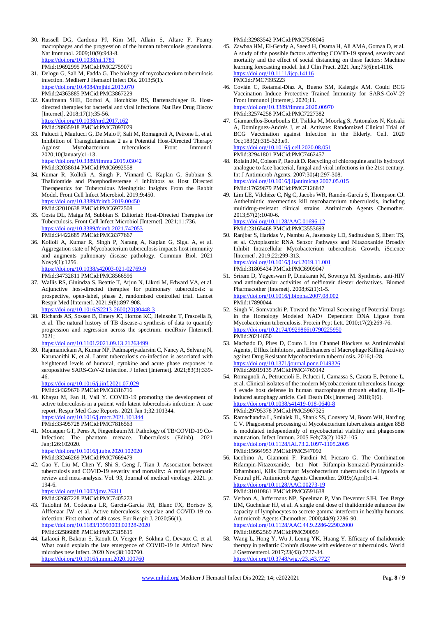30. Russell DG, Cardona PJ, Kim MJ, Allain S, Altare F. Foamy macrophages and the progression of the human tuberculosis granuloma. Nat Immunol. 2009;10(9):943-8. <https://doi.org/10.1038/ni.1781> PMid:19692995 PMCid:PMC2759071

31. Delogu G, Sali M, Fadda G. The biology of mycobacterium tuberculosis infection. Mediterr J Hematol Infect Dis. 2013;5(1). <https://doi.org/10.4084/mjhid.2013.070> PMid:24363885 PMCid:PMC3867229

32. Kaufmann SHE, Dorhoi A, Hotchkiss RS, Bartenschlager R. Hostdirected therapies for bacterial and viral infections. Nat Rev Drug Discov [Internet]. 2018;17(1):35-56. <https://doi.org/10.1038/nrd.2017.162> PMid:28935918 PMCid:PMC7097079

- 33. Palucci I, Maulucci G, De Maio F, Sali M, Romagnoli A, Petrone L, et al. Inhibition of Transglutaminase 2 as a Potential Host-Directed Therapy<br>Against Mycobacterium tuberculosis. Front Immunol. Against Mycobacterium tuberculosis. Front Immunol. 2020;10(January):1-13. <https://doi.org/10.3389/fimmu.2019.03042>
	- PMid:32038614 PMCid:PMC6992558
- 34. Kumar R, Kolloli A, Singh P, Vinnard C, Kaplan G, Subbian S. Thalidomide and Phosphodiesterase 4 Inhibitors as Host Directed Therapeutics for Tuberculous Meningitis: Insights From the Rabbit Model. Front Cell Infect Microbiol. 2019;9:450. <https://doi.org/10.3389/fcimb.2019.00450> PMid:32010638 PMCid:PMC6972508
- 35. Costa DL, Maiga M, Subbian S. Editorial: Host-Directed Therapies for Tuberculosis. Front Cell Infect Microbiol [Internet]. 2021;11:736. <https://doi.org/10.3389/fcimb.2021.742053> PMid:34422685 PMCid:PMC8377667
- 36. Kolloli A, Kumar R, Singh P, Narang A, Kaplan G, Sigal A, et al. Aggregation state of Mycobacterium tuberculosis impacts host immunity and augments pulmonary disease pathology. Commun Biol. 2021 Nov;4(1):1256. <https://doi.org/10.1038/s42003-021-02769-9>

PMid:34732811 PMCid:PMC8566596

37. Wallis RS, Ginindza S, Beattie T, Arjun N, Likoti M, Edward VA, et al. Adjunctive host-directed therapies for pulmonary tuberculosis: a prospective, open-label, phase 2, randomised controlled trial. Lancet Respir Med [Internet]. 2021;9(8):897-908. [https://doi.org/10.1016/S2213-2600\(20\)30448-3](https://doi.org/10.1016/S2213-2600(20)30448-3)

38. Richards AS, Sossen B, Emery JC, Horton KC, Heinsohn T, Frascella B, et al. The natural history of TB disease-a synthesis of data to quantify progression and regression across the spectrum. medRxiv [Internet]. 2021; <https://doi.org/10.1101/2021.09.13.21263499>

39. Rajamanickam A, Kumar NP, Padmapriyadarsini C, Nancy A, Selvaraj N, Karunanithi K, et al. Latent tuberculosis co-infection is associated with heightened levels of humoral, cytokine and acute phase responses in seropositive SARS-CoV-2 infection. J Infect [Internet]. 2021;83(3):339-46.

<https://doi.org/10.1016/j.jinf.2021.07.029> PMid:34329676 PMCid:PMC8316716

- 40. Khayat M, Fan H, Vali Y. COVID-19 promoting the development of active tuberculosis in a patient with latent tuberculosis infection: A case report. Respir Med Case Reports. 2021 Jan 1;32:101344. <https://doi.org/10.1016/j.rmcr.2021.101344> PMid:33495728 PMCid:PMC7816563
- 41. Mousquer GT, Peres A, Fiegenbaum M. Pathology of TB/COVID-19 Co-Infection: The phantom menace. Tuberculosis (Edinb). 2021 Jan;126:102020. <https://doi.org/10.1016/j.tube.2020.102020>

PMid:33246269 PMCid:PMC7669479

42. Gao Y, Liu M, Chen Y, Shi S, Geng J, Tian J. Association between tuberculosis and COVID-19 severity and mortality: A rapid systematic review and meta-analysis. Vol. 93, Journal of medical virology. 2021. p. 194-6. <https://doi.org/10.1002/jmv.26311>

PMid:32687228 PMCid:PMC7405273

- 43. Tadolini M, Codecasa LR, García-García JM, Blanc FX, Borisov S, Alffenaar JW, et al. Active tuberculosis, sequelae and COVID-19 coinfection: First cohort of 49 cases. Eur Respir J. 2020;56(1). <https://doi.org/10.1183/13993003.02328-2020> PMid:32586888 PMCid:PMC7315815
- 44. Lalaoui R, Bakour S, Raoult D, Verger P, Sokhna C, Devaux C, et al. What could explain the late emergence of COVID-19 in Africa? New microbes new Infect. 2020 Nov;38:100760. <https://doi.org/10.1016/j.nmni.2020.100760>

PMid:32983542 PMCid:PMC7508045

- 45. Zawbaa HM, El-Gendy A, Saeed H, Osama H, Ali AMA, Gomaa D, et al. A study of the possible factors affecting COVID-19 spread, severity and mortality and the effect of social distancing on these factors: Machine learning forecasting model. Int J Clin Pract. 2021 Jun;75(6):e14116. <https://doi.org/10.1111/ijcp.14116> PMCid:PMC7995223
- 46. Covián C, Retamal-Díaz A, Bueno SM, Kalergis AM. Could BCG Vaccination Induce Protective Trained Immunity for SARS-CoV-2? Front Immunol [Internet]. 2020;11. <https://doi.org/10.3389/fimmu.2020.00970> PMid:32574258 PMCid:PMC7227382
- 47. Giamarellos-Bourboulis EJ, Tsilika M, Moorlag S, Antonakos N, Kotsaki A, Domínguez-Andrés J, et al. Activate: Randomized Clinical Trial of BCG Vaccination against Infection in the Elderly. Cell. 2020 Oct;183(2):315-323.e9. <https://doi.org/10.1016/j.cell.2020.08.051>
- PMid:32941801 PMCid:PMC7462457 48. Rolain JM, Colson P, Raoult D. Recycling of chloroquine and its hydroxyl analogue to face bacterial, fungal and viral infections in the 21st century. Int J Antimicrob Agents. 2007;30(4):297-308. <https://doi.org/10.1016/j.ijantimicag.2007.05.015> PMid:17629679 PMCid:PMC7126847
- 49. Lim LE, Vilchèze C, Ng C, Jacobs WR, Ramón-García S, Thompson CJ. Anthelmintic avermectins kill mycobacterium tuberculosis, including multidrug-resistant clinical strains. Antimicrob Agents Chemother. 2013;57(2):1040-6. <https://doi.org/10.1128/AAC.01696-12> PMid:23165468 PMCid:PMC3553693
- 50. Ranjbar S, Haridas V, Nambu A, Jasenosky LD, Sadhukhan S, Ebert TS, et al. Cytoplasmic RNA Sensor Pathways and Nitazoxanide Broadly Inhibit Intracellular Mycobacterium tuberculosis Growth. iScience [Internet]. 2019;22:299-313. <https://doi.org/10.1016/j.isci.2019.11.001>

PMid:31805434 PMCid:PMC6909047

- 51. Sriram D, Yogeeswari P, Dinakaran M, Sowmya M. Synthesis, anti-HIV and antitubercular activities of nelfinavir diester derivatives. Biomed Pharmacother [Internet]. 2008;62(1):1-5. <https://doi.org/10.1016/j.biopha.2007.08.002> PMid:17890044
- 52. Singh V, Somvanshi P. Toward the Virtual Screening of Potential Drugs in the Homology Modeled NAD+ Dependent DNA Ligase from Mycobacterium tuberculosis. Protein Pept Lett. 2010;17(2):269-76. <https://doi.org/10.2174/092986610790225950> PMid:20214650
- 53. Machado D, Pires D, Couto I. Ion Channel Blockers as Antimicrobial Agents , Efflux Inhibitors , and Enhancers of Macrophage Killing Activity against Drug Resistant Mycobacterium tuberculosis. 2016;1-28. <https://doi.org/10.1371/journal.pone.0149326> PMid:26919135 PMCid:PMC4769142
- 54. Romagnoli A, Petruccioli E, Palucci I, Camassa S, Carata E, Petrone L, et al. Clinical isolates of the modern Mycobacterium tuberculosis lineage 4 evade host defense in human macrophages through eluding IL-1βinduced autophagy article. Cell Death Dis [Internet]. 2018;9(6). <https://doi.org/10.1038/s41419-018-0640-8> PMid:29795378 PMCid:PMC5967325
- 55. Ramachandra L, Smialek JL, Shank SS, Convery M, Boom WH, Harding C V. Phagosomal processing of Mycobacterium tuberculosis antigen 85B is modulated independently of mycobacterial viability and phagosome maturation. Infect Immun. 2005 Feb;73(2):1097-105. <https://doi.org/10.1128/IAI.73.2.1097-1105.2005> PMid:15664953 PMCid:PMC547092
- 56. Iacobino A, Giannoni F, Pardini M, Piccaro G. The Combination Rifampin-Nitazoxanide, but Not Rifampin-Isoniazid-Pyrazinamide-Ethambutol, Kills Dormant Mycobacterium tuberculosis in Hypoxia at Neutral pH. Antimicrob Agents Chemother. 2019;(April):1-4. <https://doi.org/10.1128/AAC.00273-19> PMid:31010861 PMCid:PMC6591638
- 57. Verbon A, Juffermans NP, Speelman P, Van Deventer SJH, Ten Berge IJM, Guchelaar HJ, et al. A single oral dose of thalidomide enhances the capacity of lymphocytes to secrete gamma interferon in healthy humans. Antimicrob Agents Chemother. 2000;44(9):2286-90. <https://doi.org/10.1128/AAC.44.9.2286-2290.2000> PMid:10952569 PMCid:PMC90059
- 58. Wang L, Hong Y, Wu J, Leung YK, Huang Y. Efficacy of thalidomide therapy in pediatric Crohn's disease with evidence of tuberculosis. World J Gastroenterol. 2017;23(43):7727-34. <https://doi.org/10.3748/wjg.v23.i43.7727>